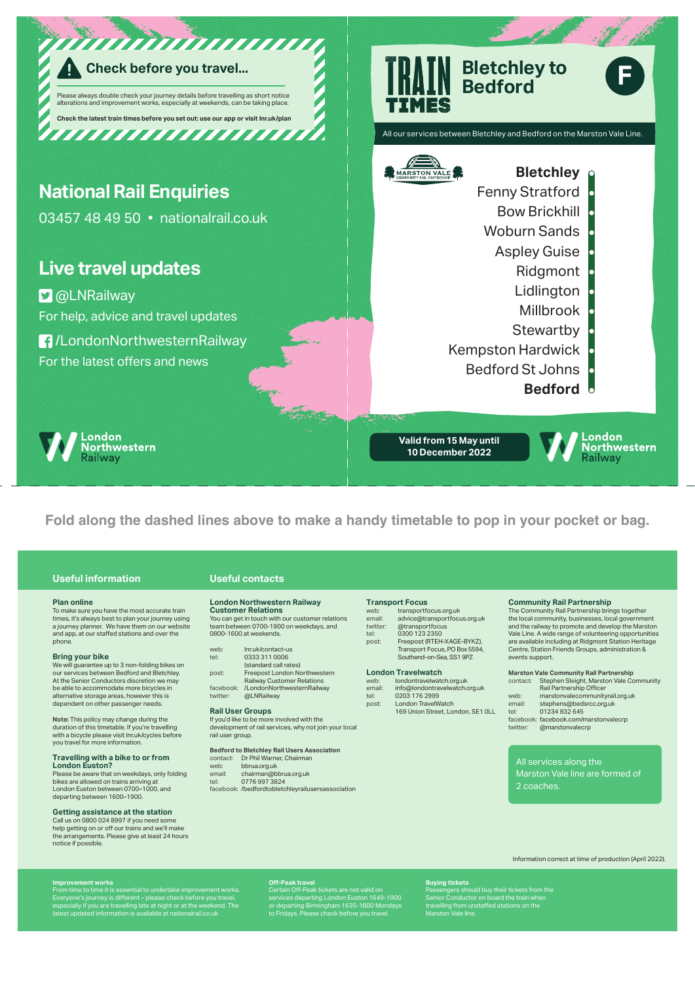

**Fold along the dashed lines above to make a handy timetable to pop in your pocket or bag.**

# **Useful information Useful contacts**

**Plan online**<br>To make sure you have the most accurate train To make sure you have the most accurate train times, it's always best to plan your journey using a journey planner. We have them on our website and app, at our staffed stations and over the phone.

**Bring your bike**<br>We will guarantee up to 3 non-folding bikes on<br>our services between Bedford and Bletchley. At the Senior Conductors discretion we may be able to accommodate more bicycles in alternative storage areas, however this is dependent on other passenger needs.

**Note:** This policy may change during the duration of this timetable. If you're travelling with a bicycle please visit lnr.uk/cycles before you travel for more information.

### **Travelling with a bike to or from London Euston?**

Please be aware that on weekdays, only folding<br>hikes are allowed on trains arriving at bikes are allowed on trains arriving at London Euston between 0700–1000, and departing between 1600–1900.

### **Getting assistance at the station**

Call us on 0800 024 8997 if you need some help getting on or off our trains and we'll make the arrangements. Please give at least 24 hours notice if possible.

# **London Northwestern Railway**

**Customer Relations** You can get in touch with our customer relations team between 0700-1900 on weekdays, and 0800-1600 at weekends.

# web: lnr.uk/contact-us<br>tel: 0333 311 0006 tel: 0333 311 0006 (standard call rates) post: Freepost London Northwestern Railway Customer Relations facebook: /LondonNorthwesternRailway

twitter: @LNRailway

# **Rail User Groups**

# If you'd like to be more involved with the development of rail services, why not join your local rail user group.

**Bedford to Bletchley Rail Users Association**

contact: Dr Phil Warner, Chairman<br>web: bbrua.org.uk web: bbrua.org.uk<br>email: chairman@b email: chairman@bbrua.org.uk<br>tel: 0776 997 3824

tel: 0776 997 3824 facebook: /bedfordtobletchleyrailusersassociation

# **Transport Focus**<br>web: transportfocus orgula

web: transportfocus.org.uk email: advice@transportfocus.org.uk twitter: @transportfocus tel: 0300 123 2350<br>post: Freepost (RTEH

post: Freepost (RTEH-XAGE-BYKZ), Transport Focus, PO Box 5594, Southend-on-Sea, SS1 9PZ

**London Travelwatch**<br>web: londontravelwate<br>email: info@londontrav web: londontravelwatch.org.uk email: info@londontravelwatch.org.uk tel: 0203 176 2999<br>post: London TravelW London TravelWatch 169 Union Street, London, SE1 0LL

**Community Rail Partnership**

The Community Rail Partnership brings together the local community, businesses, local government and the railway to promote and develop the Marston Vale Line. A wide range of volunteering opportunities are available including at Ridgmont Station Heritage Centre, Station Friends Groups, administration & events support. **Marston Vale Community Rail Partnership**

|          | Marston vale Community Rall Partnership |
|----------|-----------------------------------------|
| contact: | Stephen Sleight, Marston Vale Community |
|          | Rail Partnership Officer                |
| web:     | marstonvalecommunityrail.org.uk         |
| email:   | stephens@bedsrcc.org.uk                 |
| tel:     | 01234832645                             |
|          | facebook: facebook.com/marstonvalecrp   |
| twitter: | @marstonvalecrp                         |
|          |                                         |

All services along the Marston Vale line are formed of

2 coaches.

Information correct at time of production (April 2022).

**Improvement works**<br>From time to time it is essential to undertake improvement works.<br>Everyone's journey is different – please check before you travel,<br>especially if you are travelling late at night or at the weekend. The<br>

**Off-ania Off-Peak travel<br>
Certain Off-Peak tickets are not valid on<br>
services departing London Euston 1649-1900<br>
or departing Birmingham 1635-1800 Mondays<br>
to Fridays. Please check before you travel.** 

**Buying tickets** Passengers should buy their tickets from the<br>Senior Conductor on board the train when<br>travelling from unstaffed stations on the Marston Vale line.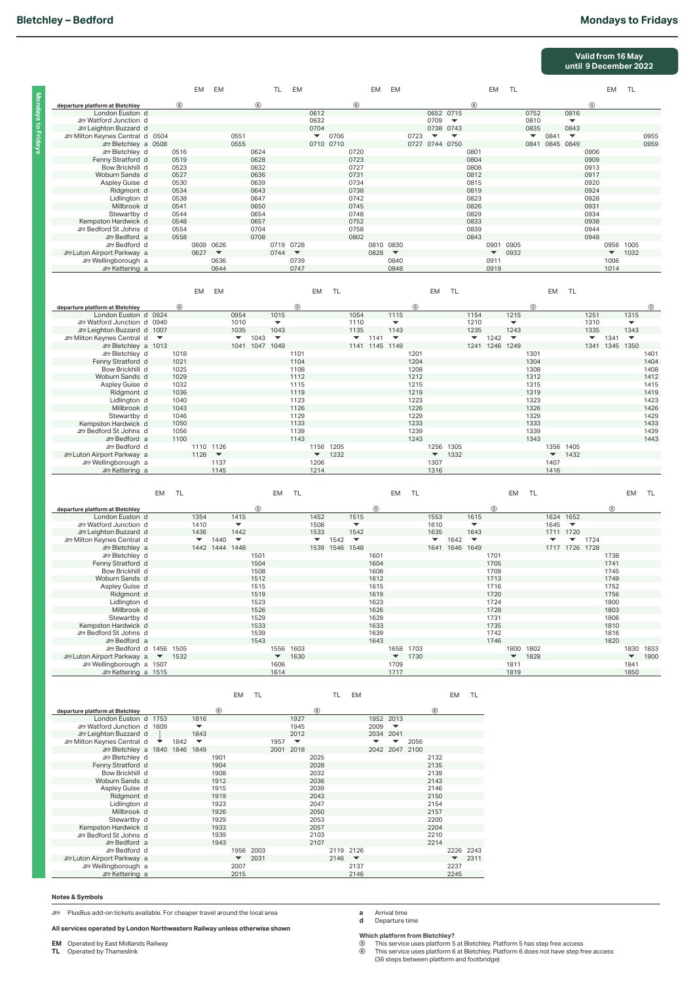|                                                                                            |    |              |                                  |                                       |                                  |                |                              |                                   |                      |                                        |                                            |                      |                                            |              |                          |                                       |                                  |                      |                                  |              |                      |                                       | Valid from 16 May<br>until 9 December 2022 |                      |                                  |              |
|--------------------------------------------------------------------------------------------|----|--------------|----------------------------------|---------------------------------------|----------------------------------|----------------|------------------------------|-----------------------------------|----------------------|----------------------------------------|--------------------------------------------|----------------------|--------------------------------------------|--------------|--------------------------|---------------------------------------|----------------------------------|----------------------|----------------------------------|--------------|----------------------|---------------------------------------|--------------------------------------------|----------------------|----------------------------------|--------------|
|                                                                                            |    |              | EM                               | <b>EM</b>                             |                                  |                | <b>TL</b>                    | EM                                |                      |                                        |                                            | EM                   | EM                                         |              |                          |                                       |                                  | EM                   | <b>TL</b>                        |              |                      |                                       |                                            | EM                   | <b>TL</b>                        |              |
| departure platform at Bletchley                                                            |    | (6)          |                                  |                                       |                                  | $6$            |                              |                                   |                      |                                        | $^{\circ}$                                 |                      |                                            |              |                          |                                       | $^{\circ}$                       |                      |                                  |              |                      |                                       | (5)                                        |                      |                                  |              |
| London Euston d<br><b>E</b> Watford Junction d                                             |    |              |                                  |                                       |                                  |                |                              |                                   | 0612<br>0632         |                                        |                                            |                      |                                            |              | 0709                     | 0652 0715<br>$\overline{\phantom{a}}$ |                                  |                      |                                  | 0752<br>0810 |                      | 0816                                  |                                            |                      |                                  |              |
| <b>29 Leighton Buzzard d</b>                                                               |    |              |                                  |                                       |                                  |                |                              |                                   | 0704                 |                                        |                                            |                      |                                            |              |                          | 0738 0743                             |                                  |                      |                                  | 0835         |                      | 0843                                  |                                            |                      |                                  |              |
| m Milton Keynes Central d 0504                                                             |    |              |                                  |                                       | 0551                             |                |                              |                                   | $\blacktriangledown$ | 0706                                   |                                            |                      |                                            | 0723         | $\overline{\phantom{a}}$ | $\overline{\phantom{a}}$              |                                  |                      |                                  | ▼            | 0841                 | $\overline{\phantom{a}}$              |                                            |                      |                                  | 0955         |
| <b>EDIE Bletchley</b> a 0508<br><b>ED Bletchley</b> d                                      |    | 0516         |                                  |                                       | 0555                             | 0624           |                              |                                   |                      | 0710 0710                              | 0720                                       |                      |                                            |              | 0727 0744 0750           |                                       | 0801                             |                      |                                  |              |                      | 0841 0845 0849                        | 0906                                       |                      |                                  | 0959         |
| Fenny Stratford d                                                                          |    | 0519         |                                  |                                       |                                  | 0628           |                              |                                   |                      |                                        | 0723                                       |                      |                                            |              |                          |                                       | 0804                             |                      |                                  |              |                      |                                       | 0909                                       |                      |                                  |              |
| Bow Brickhill d<br>Woburn Sands d                                                          |    | 0523<br>0527 |                                  |                                       |                                  | 0632<br>0636   |                              |                                   |                      |                                        | 0727<br>0731                               |                      |                                            |              |                          |                                       | 0808<br>0812                     |                      |                                  |              |                      |                                       | 0913<br>0917                               |                      |                                  |              |
| Aspley Guise d                                                                             |    | 0530         |                                  |                                       |                                  | 0639           |                              |                                   |                      |                                        | 0734                                       |                      |                                            |              |                          |                                       | 0815                             |                      |                                  |              |                      |                                       | 0920                                       |                      |                                  |              |
| Ridgmont d<br>Lidlington d                                                                 |    | 0534<br>0538 |                                  |                                       |                                  | 0643<br>0647   |                              |                                   |                      |                                        | 0738<br>0742                               |                      |                                            |              |                          |                                       | 0819<br>0823                     |                      |                                  |              |                      |                                       | 0924<br>0928                               |                      |                                  |              |
| Millbrook d                                                                                |    | 0541         |                                  |                                       |                                  | 0650           |                              |                                   |                      |                                        | 0745                                       |                      |                                            |              |                          |                                       | 0826                             |                      |                                  |              |                      |                                       | 0931                                       |                      |                                  |              |
| Stewartby d<br>Kempston Hardwick d                                                         |    | 0544<br>0548 |                                  |                                       |                                  | 0654<br>0657   |                              |                                   |                      |                                        | 0748<br>0752                               |                      |                                            |              |                          |                                       | 0829<br>0833                     |                      |                                  |              |                      |                                       | 0934<br>0938                               |                      |                                  |              |
| <b>ED Bedford St Johns d</b>                                                               |    | 0554         |                                  |                                       |                                  | 0704           |                              |                                   |                      |                                        | 0758                                       |                      |                                            |              |                          |                                       | 0839                             |                      |                                  |              |                      |                                       | 0944                                       |                      |                                  |              |
| <b>E</b> Bedford a<br><b>ED</b> Bedford d                                                  |    | 0558         |                                  | 0609 0626                             |                                  | 0708           |                              | 0719 0728                         |                      |                                        | 0802                                       |                      | 0810 0830                                  |              |                          |                                       | 0843                             |                      | 0901 0905                        |              |                      |                                       | 0948                                       | 0956 1005            |                                  |              |
| <b>En Luton Airport Parkway</b> a                                                          |    |              | 0627                             | $\blacktriangledown$                  |                                  |                | 0744                         | $\blacktriangledown$              |                      |                                        |                                            | 0828                 | $\blacktriangledown$                       |              |                          |                                       |                                  | $\blacktriangledown$ | 0932                             |              |                      |                                       |                                            | $\blacktriangledown$ | 1032                             |              |
| <b>er Wellingborough a</b>                                                                 |    |              |                                  | 0636                                  |                                  |                |                              | 0739                              |                      |                                        |                                            |                      | 0840                                       |              |                          |                                       |                                  | 0911                 |                                  |              |                      |                                       |                                            | 1006                 |                                  |              |
| Settering a                                                                                |    |              |                                  | 0644                                  |                                  |                |                              | 0747                              |                      |                                        |                                            |                      | 0848                                       |              |                          |                                       |                                  | 0919                 |                                  |              |                      |                                       |                                            | 1014                 |                                  |              |
|                                                                                            |    |              | EM                               | EM                                    |                                  |                |                              |                                   | EM                   | TL                                     |                                            |                      |                                            |              | EM                       | <b>TL</b>                             |                                  |                      |                                  |              | EM                   | <b>TL</b>                             |                                            |                      |                                  |              |
|                                                                                            |    |              |                                  |                                       |                                  |                |                              |                                   |                      |                                        |                                            |                      |                                            |              |                          |                                       |                                  |                      |                                  |              |                      |                                       |                                            |                      |                                  |              |
| departure platform at Bletchley<br>London Euston d 0924                                    |    | ◉            |                                  |                                       | 0954                             |                | 1015                         | $\circledS$                       |                      |                                        | 1054                                       |                      | 1115                                       | $\circledS$  |                          |                                       | 1154                             |                      | 1215                             | $\circledS$  |                      |                                       | 1251                                       |                      | 1315                             | (5)          |
| Sunction d 0940                                                                            |    |              |                                  |                                       | 1010                             |                | $\overline{\phantom{a}}$     |                                   |                      |                                        | 1110                                       |                      | $\overline{\phantom{a}}$                   |              |                          |                                       | 1210                             |                      | $\overline{\phantom{a}}$         |              |                      |                                       | 1310                                       |                      | $\overline{\phantom{a}}$         |              |
| Em Leighton Buzzard d 1007<br><b><i>s</i></b> Milton Keynes Central d $\blacktriangledown$ |    |              |                                  |                                       | 1035<br>$\overline{\phantom{0}}$ | 1043           | 1043<br>$\blacktriangledown$ |                                   |                      |                                        | 1135<br>$\overline{\phantom{a}}$           | 1141                 | 1143<br>$\blacktriangledown$               |              |                          |                                       | 1235<br>▼                        | 1242                 | 1243<br>$\overline{\phantom{a}}$ |              |                      |                                       | 1335<br>$\overline{\phantom{a}}$           | 1341                 | 1343<br>$\overline{\phantom{a}}$ |              |
| Bletchlev a 1013                                                                           |    |              |                                  |                                       |                                  | 1041 1047 1049 |                              |                                   |                      |                                        |                                            | 1141 1145 1149       |                                            |              |                          |                                       |                                  |                      | 1241 1246 1249                   |              |                      |                                       |                                            | 1341 1345 1350       |                                  |              |
| <b>ED Bletchley</b> d<br>Fenny Stratford d                                                 |    | 1018<br>1021 |                                  |                                       |                                  |                |                              | 1101<br>1104                      |                      |                                        |                                            |                      |                                            | 1201<br>1204 |                          |                                       |                                  |                      |                                  | 1301<br>1304 |                      |                                       |                                            |                      |                                  | 1401<br>1404 |
| Bow Brickhill d                                                                            |    | 1025         |                                  |                                       |                                  |                |                              | 1108                              |                      |                                        |                                            |                      |                                            | 1208         |                          |                                       |                                  |                      |                                  | 1308         |                      |                                       |                                            |                      |                                  | 1408         |
| Woburn Sands d<br>Aspley Guise d                                                           |    | 1029<br>1032 |                                  |                                       |                                  |                |                              | 1112<br>1115                      |                      |                                        |                                            |                      |                                            | 1212<br>1215 |                          |                                       |                                  |                      |                                  | 1312<br>1315 |                      |                                       |                                            |                      |                                  | 1412<br>1415 |
| Ridgmont d                                                                                 |    | 1036         |                                  |                                       |                                  |                |                              | 1119                              |                      |                                        |                                            |                      |                                            | 1219         |                          |                                       |                                  |                      |                                  | 1319         |                      |                                       |                                            |                      |                                  | 1419         |
| Lidlington d<br>Millbrook d                                                                |    | 1040<br>1043 |                                  |                                       |                                  |                |                              | 1123<br>1126                      |                      |                                        |                                            |                      |                                            | 1223<br>1226 |                          |                                       |                                  |                      |                                  | 1323<br>1326 |                      |                                       |                                            |                      |                                  | 1423<br>1426 |
| Stewartby d                                                                                |    | 1046         |                                  |                                       |                                  |                |                              | 1129                              |                      |                                        |                                            |                      |                                            | 1229         |                          |                                       |                                  |                      |                                  | 1329         |                      |                                       |                                            |                      |                                  | 1429         |
| Kempston Hardwick d<br><b>ED Bedford St Johns d</b>                                        |    | 1050<br>1056 |                                  |                                       |                                  |                |                              | 1133<br>1139                      |                      |                                        |                                            |                      |                                            | 1233<br>1239 |                          |                                       |                                  |                      |                                  | 1333<br>1339 |                      |                                       |                                            |                      |                                  | 1433<br>1439 |
| <b>E</b> Bedford a                                                                         |    | 1100         |                                  |                                       |                                  |                |                              | 1143                              |                      |                                        |                                            |                      |                                            | 1243         |                          |                                       |                                  |                      |                                  | 1343         |                      |                                       |                                            |                      |                                  | 1443         |
| <b>ED</b> Bedford d                                                                        |    |              | 1128                             | 1110 1126<br>$\overline{\phantom{a}}$ |                                  |                |                              |                                   |                      | 1156 1205<br>$\blacktriangledown$ 1232 |                                            |                      |                                            |              | $\blacktriangledown$     | 1256 1305<br>1332                     |                                  |                      |                                  |              | $\blacktriangledown$ | 1356 1405<br>1432                     |                                            |                      |                                  |              |
| <b>Example 1</b> Luton Airport Parkway a<br><b>e</b> Wellingborough a                      |    |              |                                  | 1137                                  |                                  |                |                              |                                   | 1206                 |                                        |                                            |                      |                                            |              | 1307                     |                                       |                                  |                      |                                  |              | 1407                 |                                       |                                            |                      |                                  |              |
| <del></del> Kettering a                                                                    |    |              |                                  | 1145                                  |                                  |                |                              |                                   | 1214                 |                                        |                                            |                      |                                            |              | 1316                     |                                       |                                  |                      |                                  |              | 1416                 |                                       |                                            |                      |                                  |              |
|                                                                                            |    |              |                                  |                                       |                                  |                |                              | <b>TL</b>                         |                      |                                        |                                            |                      | EM                                         | TL           |                          |                                       |                                  |                      | EM                               | TL           |                      |                                       |                                            |                      | EM                               | TL           |
|                                                                                            |    |              |                                  |                                       |                                  |                |                              |                                   |                      |                                        |                                            |                      |                                            |              |                          |                                       |                                  |                      |                                  |              |                      |                                       |                                            |                      |                                  |              |
|                                                                                            | EM | <b>TL</b>    |                                  |                                       |                                  |                | EM                           |                                   |                      |                                        |                                            |                      |                                            |              |                          |                                       |                                  |                      |                                  |              |                      |                                       |                                            |                      |                                  |              |
| departure platform at Bletchley                                                            |    |              |                                  |                                       |                                  | 5              |                              |                                   |                      |                                        |                                            | ⑤                    |                                            |              |                          |                                       |                                  | <b>G</b>             |                                  |              |                      |                                       |                                            |                      |                                  |              |
| London Euston d<br><b>ED</b> Watford Junction d                                            |    |              | 1354<br>1410                     |                                       | 1415<br>$\overline{\phantom{a}}$ |                |                              |                                   | 1452<br>1508         |                                        | 1515<br>$\overline{\phantom{a}}$           |                      |                                            |              | 1553<br>1610             |                                       | 1615<br>$\overline{\phantom{a}}$ |                      |                                  |              | 1645                 | 1624 1652<br>$\overline{\phantom{a}}$ |                                            |                      |                                  |              |
| <b>29 Leighton Buzzard d</b>                                                               |    |              | 1436                             |                                       | 1442                             |                |                              |                                   | 1533                 |                                        | 1542                                       |                      |                                            |              | 1635                     |                                       | 1643                             |                      |                                  |              |                      | 1711 1720                             |                                            |                      |                                  |              |
| m Milton Keynes Central d<br><b>ED</b> Bletchley a                                         |    |              | $\overline{\phantom{a}}$         | 1440<br>1442 1444 1448                | $\overline{\phantom{a}}$         |                |                              |                                   | $\blacktriangledown$ | 1542                                   | $\overline{\phantom{a}}$<br>1539 1546 1548 |                      |                                            |              | $\overline{\phantom{a}}$ | 1642<br>1641 1646 1649                | $\overline{\phantom{a}}$         |                      |                                  |              |                      | $\overline{\phantom{a}}$              | 1724<br>1717 1726 1728                     |                      |                                  |              |
| <b>ED</b> Bletchley d                                                                      |    |              |                                  |                                       |                                  | 1501           |                              |                                   |                      |                                        |                                            | 1601                 |                                            |              |                          |                                       |                                  | 1701                 |                                  |              |                      |                                       |                                            | 1738                 |                                  |              |
| Fenny Stratford d<br>Bow Brickhill d                                                       |    |              |                                  |                                       |                                  | 1504<br>1508   |                              |                                   |                      |                                        |                                            | 1604<br>1608         |                                            |              |                          |                                       |                                  | 1705<br>1709         |                                  |              |                      |                                       |                                            | 1741<br>1745         |                                  |              |
| Woburn Sands d                                                                             |    |              |                                  |                                       |                                  | 1512           |                              |                                   |                      |                                        |                                            | 1612                 |                                            |              |                          |                                       |                                  | 1713                 |                                  |              |                      |                                       |                                            | 1749                 |                                  |              |
| Aspley Guise d<br>Ridgmont d                                                               |    |              |                                  |                                       |                                  | 1515<br>1519   |                              |                                   |                      |                                        |                                            | 1615<br>1619         |                                            |              |                          |                                       |                                  | 1716<br>1720         |                                  |              |                      |                                       |                                            | 1752<br>1756         |                                  |              |
| Lidlington d                                                                               |    |              |                                  |                                       |                                  | 1523           |                              |                                   |                      |                                        |                                            | 1623                 |                                            |              |                          |                                       |                                  | 1724                 |                                  |              |                      |                                       |                                            | 1800                 |                                  |              |
| Millbrook d                                                                                |    |              |                                  |                                       |                                  | 1526           |                              |                                   |                      |                                        |                                            | 1626                 |                                            |              |                          |                                       |                                  | 1728                 |                                  |              |                      |                                       |                                            | 1803                 |                                  |              |
| Stewartby d<br>Kempston Hardwick d                                                         |    |              |                                  |                                       |                                  | 1529<br>1533   |                              |                                   |                      |                                        |                                            | 1629<br>1633         |                                            |              |                          |                                       |                                  | 1731<br>1735         |                                  |              |                      |                                       |                                            | 1806<br>1810         |                                  |              |
| <b>ED Bedford St Johns d</b>                                                               |    |              |                                  |                                       |                                  | 1539           |                              |                                   |                      |                                        |                                            | 1639                 |                                            |              |                          |                                       |                                  | 1742                 |                                  |              |                      |                                       |                                            | 1816                 |                                  |              |
| <b>Executor Section</b><br><b>ED Bedford d 1456 1505</b>                                   |    |              |                                  |                                       |                                  | 1543           |                              | 1556 1603                         |                      |                                        |                                            | 1643                 |                                            | 1658 1703    |                          |                                       |                                  | 1746                 |                                  | 1800 1802    |                      |                                       |                                            | 1820                 |                                  | 1830 1833    |
| a Luton Airport Parkway a ▼ 1532                                                           |    |              |                                  |                                       |                                  |                | $\blacktriangledown$         | 1630                              |                      |                                        |                                            |                      | $\blacktriangledown$                       | 1730         |                          |                                       |                                  |                      | $\blacktriangledown$             | 1828         |                      |                                       |                                            |                      | $\blacktriangledown$             | 1900         |
| <b>ED</b> Wellingborough a 1507<br>Settering a 1515                                        |    |              |                                  |                                       |                                  |                | 1606<br>1614                 |                                   |                      |                                        |                                            |                      | 1709<br>1717                               |              |                          |                                       |                                  |                      | 1811<br>1819                     |              |                      |                                       |                                            |                      | 1841<br>1850                     |              |
|                                                                                            |    |              |                                  |                                       |                                  |                |                              |                                   |                      |                                        |                                            |                      |                                            |              |                          |                                       |                                  |                      |                                  |              |                      |                                       |                                            |                      |                                  |              |
|                                                                                            |    |              |                                  |                                       | <b>EM</b>                        | <b>TL</b>      |                              |                                   |                      | TL                                     | EM                                         |                      |                                            |              |                          | EM                                    | TL                               |                      |                                  |              |                      |                                       |                                            |                      |                                  |              |
| departure platform at Bletchley                                                            |    |              |                                  | $^{\circ}$                            |                                  |                |                              |                                   | $^{\circ}$           |                                        |                                            |                      |                                            |              | (6)                      |                                       |                                  |                      |                                  |              |                      |                                       |                                            |                      |                                  |              |
| London Euston d 1753<br>se Watford Junction d 1809                                         |    |              | 1816<br>$\overline{\phantom{a}}$ |                                       |                                  |                |                              | 1927<br>1945                      |                      |                                        |                                            | 2009                 | 1952 2013<br>$\overline{\phantom{a}}$      |              |                          |                                       |                                  |                      |                                  |              |                      |                                       |                                            |                      |                                  |              |
| <b>27 Leighton Buzzard d</b>                                                               |    |              | 1843                             |                                       |                                  |                |                              | 2012                              |                      |                                        |                                            |                      | 2034 2041                                  |              |                          |                                       |                                  |                      |                                  |              |                      |                                       |                                            |                      |                                  |              |
| <b>ED Milton Keynes Central d</b><br><b>ED Bletchley a 1840 1846 1849</b>                  |    | 1842         | $\blacktriangledown$             |                                       |                                  |                | 1957                         | $\blacktriangledown$<br>2001 2018 |                      |                                        |                                            | $\blacktriangledown$ | $\overline{\phantom{a}}$<br>2042 2047 2100 | 2056         |                          |                                       |                                  |                      |                                  |              |                      |                                       |                                            |                      |                                  |              |
| <b>ED</b> Bletchley d                                                                      |    |              |                                  | 1901                                  |                                  |                |                              |                                   | 2025                 |                                        |                                            |                      |                                            |              | 2132                     |                                       |                                  |                      |                                  |              |                      |                                       |                                            |                      |                                  |              |
| Fenny Stratford d<br>Bow Brickhill d                                                       |    |              |                                  | 1904<br>1908                          |                                  |                |                              |                                   | 2028<br>2032         |                                        |                                            |                      |                                            |              | 2135<br>2139             |                                       |                                  |                      |                                  |              |                      |                                       |                                            |                      |                                  |              |
| Woburn Sands d                                                                             |    |              |                                  | 1912                                  |                                  |                |                              |                                   | 2036                 |                                        |                                            |                      |                                            |              | 2143                     |                                       |                                  |                      |                                  |              |                      |                                       |                                            |                      |                                  |              |
| Aspley Guise d                                                                             |    |              |                                  | 1915<br>1919                          |                                  |                |                              |                                   | 2039                 |                                        |                                            |                      |                                            |              | 2146                     |                                       |                                  |                      |                                  |              |                      |                                       |                                            |                      |                                  |              |
| Ridgmont d<br>Lidlington d                                                                 |    |              |                                  | 1923                                  |                                  |                |                              |                                   | 2043<br>2047         |                                        |                                            |                      |                                            |              | 2150<br>2154             |                                       |                                  |                      |                                  |              |                      |                                       |                                            |                      |                                  |              |
| Millbrook d                                                                                |    |              |                                  | 1926                                  |                                  |                |                              |                                   | 2050                 |                                        |                                            |                      |                                            |              | 2157                     |                                       |                                  |                      |                                  |              |                      |                                       |                                            |                      |                                  |              |
| Stewartby d<br>Kempston Hardwick d                                                         |    |              |                                  | 1929<br>1933                          |                                  |                |                              |                                   | 2053<br>2057         |                                        |                                            |                      |                                            |              | 2200<br>2204             |                                       |                                  |                      |                                  |              |                      |                                       |                                            |                      |                                  |              |
| <b>ED Bedford St Johns d</b>                                                               |    |              |                                  | 1939                                  |                                  |                |                              |                                   | 2103                 |                                        |                                            |                      |                                            |              | 2210                     |                                       |                                  |                      |                                  |              |                      |                                       |                                            |                      |                                  |              |
| <b>Executor Section</b><br><b>ED</b> Bedford d                                             |    |              |                                  | 1943                                  |                                  | 1956 2003      |                              |                                   | 2107                 |                                        | 2119 2126                                  |                      |                                            |              | 2214                     |                                       | 2226 2243                        |                      |                                  |              |                      |                                       |                                            |                      |                                  |              |
| En Luton Airport Parkway a<br><b>er Wellingborough a</b>                                   |    |              |                                  |                                       | $\blacktriangledown$<br>2007     | 2031           |                              |                                   |                      | 2146                                   | $\overline{\phantom{a}}$<br>2137           |                      |                                            |              |                          | 2237                                  | $\blacktriangledown$ 2311        |                      |                                  |              |                      |                                       |                                            |                      |                                  |              |

## **Notes & Symbols**

) PlusBus add-on tickets available. For cheaper travel around the local area

**All services operated by London Northwestern Railway unless otherwise shown**

**EM** Operated by East Midlands Railway **TL** Operated by Thameslink

**a** Arrival time **d** Departure time

Which platform from Bletchley?<br>⑥ This service uses platform 5 at Bletchley. Platform 5 has step free access<br>⑧ This service uses platform 6 at Bletchley. Platform 6 does not have step free access<br>(36 steps between p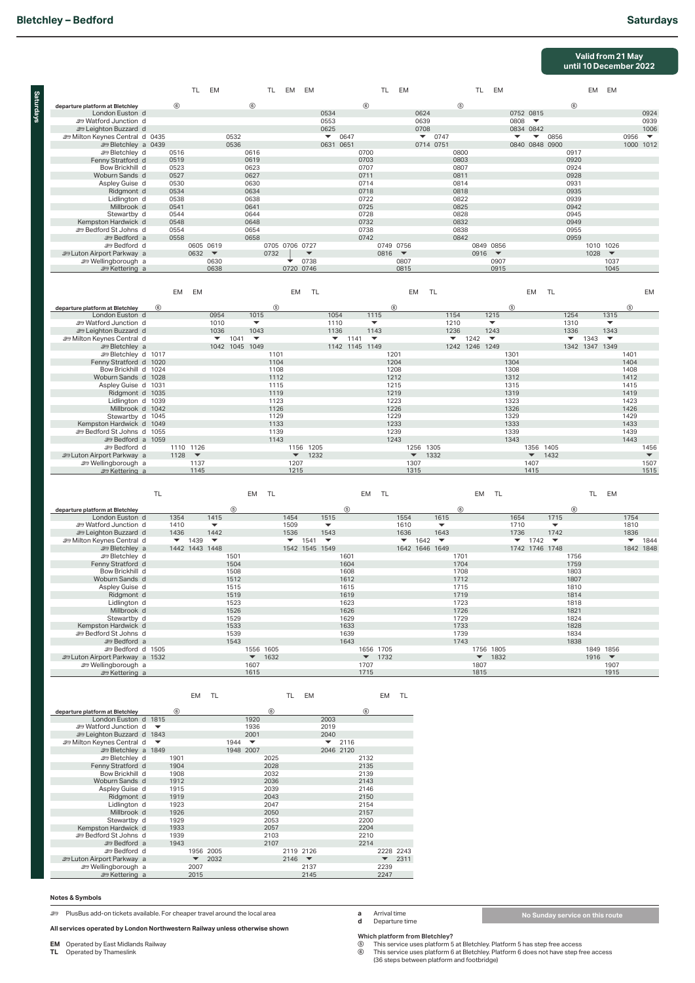**Saturdays**

**Saturdays** 

### **Valid from 21 May until 10 December 2022**

|                                                            |                |                | TL                   | EM                               |              |                                  | TL             | EM EM                    |           |                                  |              |                                  | TL EM        |      |                          |      |                                  | TL EM                                    |                          |                          |                |                                  | EM EM |                                  |              |                          |
|------------------------------------------------------------|----------------|----------------|----------------------|----------------------------------|--------------|----------------------------------|----------------|--------------------------|-----------|----------------------------------|--------------|----------------------------------|--------------|------|--------------------------|------|----------------------------------|------------------------------------------|--------------------------|--------------------------|----------------|----------------------------------|-------|----------------------------------|--------------|--------------------------|
| departure platform at Bletchley                            |                | $\circledcirc$ |                      |                                  |              | (6)                              |                |                          |           |                                  |              | $^{\circ}$                       |              |      |                          |      | $\circledS$                      |                                          |                          |                          |                | (6)                              |       |                                  |              |                          |
| London Euston d                                            |                |                |                      |                                  |              |                                  |                |                          |           | 0534                             |              |                                  |              |      | 0624                     |      |                                  |                                          |                          | 0752 0815                |                |                                  |       |                                  |              | 0924                     |
| <b>ED Watford Junction d</b>                               |                |                |                      |                                  |              |                                  |                |                          |           | 0553                             |              |                                  |              |      | 0639                     |      |                                  |                                          | 0808                     | $\overline{\phantom{a}}$ |                |                                  |       |                                  |              | 0939                     |
| <b>ED Leighton Buzzard d</b>                               |                |                |                      |                                  |              |                                  |                |                          |           | 0625                             |              |                                  |              |      | 0708                     |      |                                  |                                          |                          | 0834 0842                |                |                                  |       |                                  |              | 1006                     |
| Milton Keynes Central d 0435                               |                |                |                      |                                  | 0532         |                                  |                |                          |           | $\overline{\phantom{a}}$         | 0647         |                                  |              |      | $\overline{\phantom{a}}$ | 0747 |                                  |                                          | $\overline{\phantom{a}}$ | $\overline{\phantom{a}}$ | 0856           |                                  |       |                                  | 0956         | $\overline{\phantom{a}}$ |
| <b>EDIE Bletchley</b> a 0439                               |                |                |                      |                                  | 0536         |                                  |                |                          |           |                                  | 0631 0651    |                                  |              |      | 0714 0751                |      |                                  |                                          |                          |                          | 0840 0848 0900 |                                  |       |                                  |              | 1000 1012                |
| <b>ED</b> Bletchley d                                      |                | 0516           |                      |                                  |              | 0616                             |                |                          |           |                                  |              | 0700                             |              |      |                          |      | 0800                             |                                          |                          |                          |                | 0917                             |       |                                  |              |                          |
| Fenny Stratford d                                          |                | 0519           |                      |                                  |              | 0619                             |                |                          |           |                                  |              | 0703                             |              |      |                          |      | 0803                             |                                          |                          |                          |                | 0920<br>0924                     |       |                                  |              |                          |
| Bow Brickhill d<br>Woburn Sands d                          |                | 0523<br>0527   |                      |                                  |              | 0623<br>0627                     |                |                          |           |                                  |              | 0707<br>0711                     |              |      |                          |      | 0807<br>0811                     |                                          |                          |                          |                | 0928                             |       |                                  |              |                          |
| Aspley Guise d                                             |                | 0530           |                      |                                  |              | 0630                             |                |                          |           |                                  |              | 0714                             |              |      |                          |      | 0814                             |                                          |                          |                          |                | 0931                             |       |                                  |              |                          |
| Ridgmont d                                                 |                | 0534           |                      |                                  |              | 0634                             |                |                          |           |                                  |              | 0718                             |              |      |                          |      | 0818                             |                                          |                          |                          |                | 0935                             |       |                                  |              |                          |
| Lidlington d                                               |                | 0538           |                      |                                  |              | 0638                             |                |                          |           |                                  |              | 0722                             |              |      |                          |      | 0822                             |                                          |                          |                          |                | 0939                             |       |                                  |              |                          |
| Millbrook d                                                |                | 0541           |                      |                                  |              | 0641                             |                |                          |           |                                  |              | 0725                             |              |      |                          |      | 0825                             |                                          |                          |                          |                | 0942                             |       |                                  |              |                          |
| Stewartby d                                                |                | 0544           |                      |                                  |              | 0644                             |                |                          |           |                                  |              | 0728                             |              |      |                          |      | 0828                             |                                          |                          |                          |                | 0945                             |       |                                  |              |                          |
| Kempston Hardwick d                                        |                | 0548           |                      |                                  |              | 0648                             |                |                          |           |                                  |              | 0732                             |              |      |                          |      | 0832                             |                                          |                          |                          |                | 0949                             |       |                                  |              |                          |
| <b>333 Bedford St Johns d</b>                              |                | 0554           |                      |                                  |              | 0654                             |                |                          |           |                                  |              | 0738                             |              |      |                          |      | 0838                             |                                          |                          |                          |                | 0955                             |       |                                  |              |                          |
| <b>E</b> Bedford a<br><b>ED</b> Bedford d                  |                | 0558           |                      | 0605 0619                        |              | 0658                             |                | 0705 0706 0727           |           |                                  |              | 0742                             | 0749 0756    |      |                          |      | 0842                             | 0849 0856                                |                          |                          |                | 0959                             |       | 1010 1026                        |              |                          |
| <b>En Luton Airport Parkway</b> a                          |                |                | 0632                 | $\overline{\phantom{0}}$         |              |                                  | 0732           |                          |           |                                  |              |                                  | 0816         |      |                          |      |                                  | 0916<br>$\overline{\phantom{a}}$         |                          |                          |                |                                  | 1028  | $\blacktriangledown$             |              |                          |
| <b>ED</b> Wellingborough a                                 |                |                |                      | 0630                             |              |                                  |                |                          | 0738      |                                  |              |                                  |              | 0807 |                          |      |                                  | 0907                                     |                          |                          |                |                                  |       | 1037                             |              |                          |
| <del>e</del> Kettering a                                   |                |                |                      | 0638                             |              |                                  |                | 0720 0746                |           |                                  |              |                                  |              | 0815 |                          |      |                                  | 0915                                     |                          |                          |                |                                  |       | 1045                             |              |                          |
|                                                            |                |                |                      |                                  |              |                                  |                |                          |           |                                  |              |                                  |              |      |                          |      |                                  |                                          |                          |                          |                |                                  |       |                                  |              |                          |
|                                                            |                | <b>EM</b>      | <b>EM</b>            |                                  |              |                                  |                | <b>EM</b>                | <b>TL</b> |                                  |              |                                  |              |      | <b>EM</b><br>TL          |      |                                  |                                          |                          | <b>EM</b>                | TL             |                                  |       |                                  |              | <b>EM</b>                |
|                                                            |                |                |                      |                                  |              |                                  |                |                          |           |                                  |              |                                  |              |      |                          |      |                                  |                                          |                          |                          |                |                                  |       |                                  |              |                          |
| departure platform at Bletchley                            | $\circledcirc$ |                |                      |                                  |              |                                  | $\circledcirc$ |                          |           |                                  |              |                                  | (6)          |      |                          |      |                                  |                                          | (5)                      |                          |                |                                  |       |                                  | (5)          |                          |
| London Euston d                                            |                |                |                      | 0954                             |              | 1015                             |                |                          |           | 1054                             |              | 1115                             |              |      |                          |      | 1154                             | 1215                                     |                          |                          |                | 1254                             |       | 1315                             |              |                          |
| <b>ED</b> Watford Junction d                               |                |                |                      | 1010                             |              |                                  |                |                          |           | 1110                             |              |                                  |              |      |                          |      | 1210                             |                                          |                          |                          |                | 1310                             |       |                                  |              |                          |
| <b>er Leighton Buzzard</b> d                               |                |                |                      | 1036<br>$\overline{\phantom{a}}$ | 1041         | 1043<br>$\overline{\phantom{a}}$ |                |                          |           | 1136<br>$\overline{\phantom{a}}$ | 1141         | 1143<br>$\overline{\phantom{a}}$ |              |      |                          |      | 1236<br>$\overline{\phantom{a}}$ | 1243<br>1242<br>$\overline{\phantom{a}}$ |                          |                          |                | 1336<br>$\overline{\phantom{a}}$ | 1343  | 1343<br>$\overline{\phantom{a}}$ |              |                          |
| <b>En Milton Keynes Central d</b><br><b>ED</b> Bletchley a |                |                |                      |                                  |              | 1042 1045 1049                   |                |                          |           |                                  |              | 1142 1145 1149                   |              |      |                          |      |                                  | 1242 1246 1249                           |                          |                          |                | 1342 1347 1349                   |       |                                  |              |                          |
| <b>ED Bletchley d 1017</b>                                 |                |                |                      |                                  |              |                                  | 1101           |                          |           |                                  |              |                                  | 1201         |      |                          |      |                                  |                                          | 1301                     |                          |                |                                  |       |                                  | 1401         |                          |
| Fenny Stratford d 1020                                     |                |                |                      |                                  |              |                                  | 1104           |                          |           |                                  |              |                                  | 1204         |      |                          |      |                                  |                                          | 1304                     |                          |                |                                  |       |                                  | 1404         |                          |
| Bow Brickhill d 1024                                       |                |                |                      |                                  |              |                                  | 1108           |                          |           |                                  |              |                                  | 1208         |      |                          |      |                                  |                                          | 1308                     |                          |                |                                  |       |                                  | 1408         |                          |
| Woburn Sands d 1028                                        |                |                |                      |                                  |              |                                  | 1112           |                          |           |                                  |              |                                  | 1212         |      |                          |      |                                  |                                          | 1312                     |                          |                |                                  |       |                                  | 1412         |                          |
| Aspley Guise d 1031                                        |                |                |                      |                                  |              |                                  | 1115           |                          |           |                                  |              |                                  | 1215         |      |                          |      |                                  |                                          | 1315                     |                          |                |                                  |       |                                  | 1415         |                          |
| Ridgmont d 1035                                            |                |                |                      |                                  |              |                                  | 1119           |                          |           |                                  |              |                                  | 1219         |      |                          |      |                                  |                                          | 1319                     |                          |                |                                  |       |                                  | 1419         |                          |
| Lidlington d 1039                                          |                |                |                      |                                  |              |                                  | 1123           |                          |           |                                  |              |                                  | 1223         |      |                          |      |                                  |                                          | 1323                     |                          |                |                                  |       |                                  | 1423         |                          |
| Millbrook d 1042<br>Stewartby d 1045                       |                |                |                      |                                  |              |                                  | 1126<br>1129   |                          |           |                                  |              |                                  | 1226<br>1229 |      |                          |      |                                  |                                          | 1326<br>1329             |                          |                |                                  |       |                                  | 1426<br>1429 |                          |
| Kempston Hardwick d 1049                                   |                |                |                      |                                  |              |                                  | 1133           |                          |           |                                  |              |                                  | 1233         |      |                          |      |                                  |                                          | 1333                     |                          |                |                                  |       |                                  | 1433         |                          |
| Bedford St Johns d 1055                                    |                |                |                      |                                  |              |                                  | 1139           |                          |           |                                  |              |                                  | 1239         |      |                          |      |                                  |                                          | 1339                     |                          |                |                                  |       |                                  | 1439         |                          |
| <b>ED</b> Bedford a 1059                                   |                |                |                      |                                  |              |                                  | 1143           |                          |           |                                  |              |                                  | 1243         |      |                          |      |                                  |                                          | 1343                     |                          |                |                                  |       |                                  | 1443         |                          |
| <b>E</b> Bedford d                                         |                |                | 1110 1126            |                                  |              |                                  |                |                          | 1156 1205 |                                  |              |                                  |              |      | 1256 1305                |      |                                  |                                          |                          |                          | 1356 1405      |                                  |       |                                  |              | 1456                     |
| <b>Explorer</b> Luton Airport Parkway a                    |                | 1128           | $\blacktriangledown$ |                                  |              |                                  |                | $\blacktriangledown$     | 1232      |                                  |              |                                  |              |      | $\blacktriangledown$     | 1332 |                                  |                                          |                          | $\blacktriangledown$     | 1432           |                                  |       |                                  |              | $\blacktriangledown$     |
| <b>er Wellingborough a</b>                                 |                |                | 1137                 |                                  |              |                                  |                | 1207                     |           |                                  |              |                                  |              |      | 1307                     |      |                                  |                                          |                          | 1407                     |                |                                  |       |                                  |              | 1507                     |
| <del></del> Kettering a                                    |                |                | 1145                 |                                  |              |                                  |                | 1215                     |           |                                  |              |                                  |              |      | 1315                     |      |                                  |                                          |                          | 1415                     |                |                                  |       |                                  |              | 1515                     |
|                                                            |                |                |                      |                                  |              |                                  |                |                          |           |                                  |              |                                  |              |      |                          |      |                                  |                                          |                          |                          |                |                                  |       |                                  |              |                          |
|                                                            | <b>TL</b>      |                |                      |                                  |              | EM                               | <b>TL</b>      |                          |           |                                  |              | EM                               | <b>TL</b>    |      |                          |      |                                  | <b>TL</b><br>EM                          |                          |                          |                |                                  | TL    | EM                               |              |                          |
| departure platform at Bletchley                            |                |                |                      |                                  | (5)          |                                  |                |                          |           |                                  | (5)          |                                  |              |      |                          |      | (6)                              |                                          |                          |                          |                | (6)                              |       |                                  |              |                          |
| London Euston d                                            |                | 1354           |                      | 1415                             |              |                                  |                | 1454                     |           | 1515                             |              |                                  |              | 1554 |                          | 1615 |                                  |                                          | 1654                     |                          | 1715           |                                  |       |                                  | 1754         |                          |
| <b>ED</b> Watford Junction d                               |                | 1410           |                      |                                  |              |                                  |                | 1509                     |           | ▼                                |              |                                  |              | 1610 |                          | ▼    |                                  |                                          | 1710                     |                          | ▼              |                                  |       |                                  | 1810         |                          |
| <b>ED Leighton Buzzard d</b>                               |                | 1436           |                      | 1442                             |              |                                  |                | 1536                     |           | 1543                             |              |                                  |              | 1636 |                          | 1643 |                                  |                                          | 1736                     |                          | 1742           |                                  |       |                                  | 1836         |                          |
| m Milton Keynes Central d                                  |                |                | 1439                 |                                  |              |                                  |                | $\overline{\phantom{a}}$ | 1541      |                                  |              |                                  |              | ▼    | 1642                     |      |                                  |                                          | ▼                        | 1742                     |                |                                  |       |                                  | ▼            | 1844                     |
| <b>ED</b> Bletchley a                                      |                |                | 1442 1443 1448       |                                  |              |                                  |                | 1542 1545 1549           |           |                                  |              |                                  |              |      | 1642 1646 1649           |      |                                  |                                          |                          |                          | 1742 1746 1748 |                                  |       |                                  |              | 1842 1848                |
| <b>ED</b> Bletchley d                                      |                |                |                      |                                  | 1501         |                                  |                |                          |           |                                  | 1601         |                                  |              |      |                          |      | 1701                             |                                          |                          |                          |                | 1756                             |       |                                  |              |                          |
| Fenny Stratford d<br>Bow Brickhill d                       |                |                |                      |                                  | 1504<br>1508 |                                  |                |                          |           |                                  | 1604<br>1608 |                                  |              |      |                          |      | 1704<br>1708                     |                                          |                          |                          |                | 1759<br>1803                     |       |                                  |              |                          |
| Woburn Sands d                                             |                |                |                      |                                  | 1512         |                                  |                |                          |           |                                  | 1612         |                                  |              |      |                          |      | 1712                             |                                          |                          |                          |                | 1807                             |       |                                  |              |                          |
| Aspley Guise d                                             |                |                |                      |                                  | 1515         |                                  |                |                          |           |                                  | 1615         |                                  |              |      |                          |      | 1715                             |                                          |                          |                          |                | 1810                             |       |                                  |              |                          |
| Ridgmont d                                                 |                |                |                      |                                  | 1519         |                                  |                |                          |           |                                  | 1619         |                                  |              |      |                          |      | 1719                             |                                          |                          |                          |                | 1814                             |       |                                  |              |                          |
| Lidlington d                                               |                |                |                      |                                  | 1523         |                                  |                |                          |           |                                  | 1623         |                                  |              |      |                          |      | 1723                             |                                          |                          |                          |                | 1818                             |       |                                  |              |                          |
| Millbrook d                                                |                |                |                      |                                  | 1526         |                                  |                |                          |           |                                  | 1626         |                                  |              |      |                          |      | 1726                             |                                          |                          |                          |                | 1821                             |       |                                  |              |                          |
| Stewartby d                                                |                |                |                      |                                  | 1529         |                                  |                |                          |           |                                  | 1629         |                                  |              |      |                          |      | 1729                             |                                          |                          |                          |                | 1824                             |       |                                  |              |                          |
| Kempston Hardwick d                                        |                |                |                      |                                  | 1533         |                                  |                |                          |           |                                  | 1633         |                                  |              |      |                          |      | 1733                             |                                          |                          |                          |                | 1828                             |       |                                  |              |                          |
| <b>ED Bedford St Johns d</b><br><b>E</b> Bedford a         |                |                |                      |                                  | 1539<br>1543 |                                  |                |                          |           |                                  | 1639<br>1643 |                                  |              |      |                          |      | 1739<br>1743                     |                                          |                          |                          |                | 1834<br>1838                     |       |                                  |              |                          |
| <b>ED Bedford d 1505</b>                                   |                |                |                      |                                  |              | 1556 1605                        |                |                          |           |                                  |              | 1656 1705                        |              |      |                          |      |                                  | 1756 1805                                |                          |                          |                |                                  |       | 1849 1856                        |              |                          |
| En Luton Airport Parkway a 1532                            |                |                |                      |                                  |              | $\blacktriangledown$             | 1632           |                          |           |                                  |              | $\blacktriangledown$             | 1732         |      |                          |      |                                  | $\blacktriangledown$<br>1832             |                          |                          |                |                                  | 1916  | $\overline{\phantom{a}}$         |              |                          |
| <b>strategies</b> Wellingborough a                         |                |                |                      |                                  |              | 1607                             |                |                          |           |                                  |              | 1707                             |              |      |                          |      |                                  | 1807                                     |                          |                          |                |                                  |       | 1907                             |              |                          |
| <b>Executering</b> a                                       |                |                |                      |                                  |              | 1615                             |                |                          |           |                                  |              | 1715                             |              |      |                          |      |                                  | 1815                                     |                          |                          |                |                                  |       | 1915                             |              |                          |

EM TL TL EM

|  | EM |  |
|--|----|--|
|  |    |  |

| departure platform at Bletchley             |                          | (6)  |      |           |           |      | (6)  |           |                          |      |           | (6)  |      |           |
|---------------------------------------------|--------------------------|------|------|-----------|-----------|------|------|-----------|--------------------------|------|-----------|------|------|-----------|
| London Euston d 1815                        |                          |      |      |           |           | 1920 |      |           |                          | 2003 |           |      |      |           |
| <del>e</del> Watford Junction d             | $\overline{\phantom{a}}$ |      |      |           |           | 1936 |      |           |                          | 2019 |           |      |      |           |
| <b>Example 1843</b> Leighton Buzzard d 1843 |                          |      |      |           |           | 2001 |      |           |                          | 2040 |           |      |      |           |
| <b>ED Milton Keynes Central d</b>           |                          |      |      |           | 1944      |      |      |           |                          |      | 2116      |      |      |           |
| <b>EDIE Bletchley</b> a 1849                |                          |      |      |           | 1948 2007 |      |      |           |                          |      | 2046 2120 |      |      |           |
| <b>ED</b> Bletchley d                       |                          | 1901 |      |           |           |      | 2025 |           |                          |      |           | 2132 |      |           |
| Fenny Stratford d                           |                          | 1904 |      |           |           |      | 2028 |           |                          |      |           | 2135 |      |           |
| Bow Brickhill d                             |                          | 1908 |      |           |           |      | 2032 |           |                          |      |           | 2139 |      |           |
| Woburn Sands d                              |                          | 1912 |      |           |           |      | 2036 |           |                          |      |           | 2143 |      |           |
| Aspley Guise d                              |                          | 1915 |      |           |           |      | 2039 |           |                          |      |           | 2146 |      |           |
| Ridgmont d                                  |                          | 1919 |      |           |           |      | 2043 |           |                          |      |           | 2150 |      |           |
| Lidlington d                                |                          | 1923 |      |           |           |      | 2047 |           |                          |      |           | 2154 |      |           |
| Millbrook d                                 |                          | 1926 |      |           |           |      | 2050 |           |                          |      |           | 2157 |      |           |
| Stewartby d                                 |                          | 1929 |      |           |           |      | 2053 |           |                          |      |           | 2200 |      |           |
| Kempston Hardwick d                         |                          | 1933 |      |           |           |      | 2057 |           |                          |      |           | 2204 |      |           |
| <b>Explored St Johns d</b>                  |                          | 1939 |      |           |           |      | 2103 |           |                          |      |           | 2210 |      |           |
| <b>Execution</b> a                          |                          | 1943 |      |           |           |      | 2107 |           |                          |      |           | 2214 |      |           |
| ≞ Bedford d                                 |                          |      |      | 1956 2005 |           |      |      | 2119 2126 |                          |      |           |      |      | 2228 2243 |
| <b>ED Luton Airport Parkway</b> a           |                          |      |      | 2032      |           |      |      | 2146      | $\overline{\phantom{a}}$ |      |           |      |      | 2311      |
| <b>E</b> Wellingborough a                   |                          |      | 2007 |           |           |      |      |           | 2137                     |      |           |      | 2239 |           |
| <b>Executering</b> a                        |                          |      | 2015 |           |           |      |      |           | 2145                     |      |           |      | 2247 |           |

## **Notes & Symbols**

) PlusBus add-on tickets available. For cheaper travel around the local area

**All services operated by London Northwestern Railway unless otherwise shown**

**EM** Operated by East Midlands Railway **TL** Operated by Thameslink

**a** Arrival time **d** Departure time

**No Sunday service on this route**

**which platform from Bietchley?**<br>⑥ This service uses platform 5 at Bletchley. Platform 5 has step free access<br>⑦ This service uses platform 6 at Bletchley. Platform 6 does not have step free access<br>(36 steps between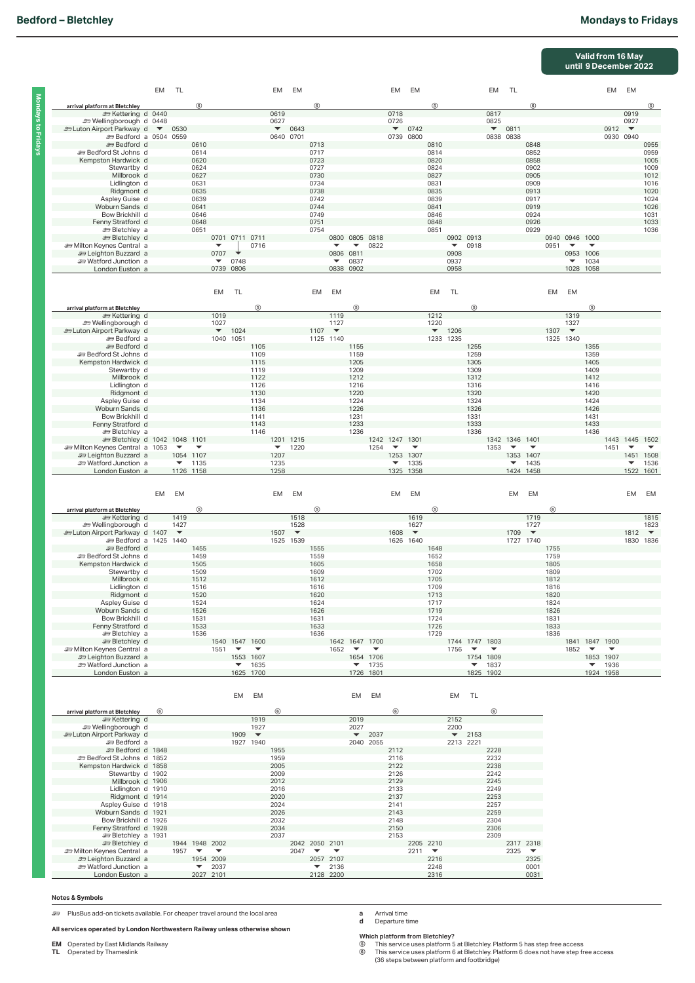**Mondays to Fridays**

Mondays to Fridays

# **Bedford – Bletchley** Mondays to Fridays

|                                                                                                                                                                                                                                                                                                                                                                                                                                                                                                                                                                                          |            |                                                      |                                                                                                            |                                                            |                                                 |                                                                                                             |                                                                                                            |                                                   |                                                                                                            |                                                       |                                                                                                             |                                                        |                                                                                                     |                                                   |                                                                                                     |                                                               |                                                                                                     |                                                                                                            |                                                                        |                                                                                                     |                                                                                                   |                                          | Valid from 16 May<br>until 9 December 2022                                                                  |                              |                                                                                |                                                                                                     |
|------------------------------------------------------------------------------------------------------------------------------------------------------------------------------------------------------------------------------------------------------------------------------------------------------------------------------------------------------------------------------------------------------------------------------------------------------------------------------------------------------------------------------------------------------------------------------------------|------------|------------------------------------------------------|------------------------------------------------------------------------------------------------------------|------------------------------------------------------------|-------------------------------------------------|-------------------------------------------------------------------------------------------------------------|------------------------------------------------------------------------------------------------------------|---------------------------------------------------|------------------------------------------------------------------------------------------------------------|-------------------------------------------------------|-------------------------------------------------------------------------------------------------------------|--------------------------------------------------------|-----------------------------------------------------------------------------------------------------|---------------------------------------------------|-----------------------------------------------------------------------------------------------------|---------------------------------------------------------------|-----------------------------------------------------------------------------------------------------|------------------------------------------------------------------------------------------------------------|------------------------------------------------------------------------|-----------------------------------------------------------------------------------------------------|---------------------------------------------------------------------------------------------------|------------------------------------------|-------------------------------------------------------------------------------------------------------------|------------------------------|--------------------------------------------------------------------------------|-----------------------------------------------------------------------------------------------------|
|                                                                                                                                                                                                                                                                                                                                                                                                                                                                                                                                                                                          | EM         | TL                                                   |                                                                                                            |                                                            |                                                 |                                                                                                             | EM                                                                                                         | EM                                                |                                                                                                            |                                                       |                                                                                                             |                                                        | EM                                                                                                  | EM                                                |                                                                                                     |                                                               |                                                                                                     | EM                                                                                                         | <b>TL</b>                                                              |                                                                                                     |                                                                                                   |                                          |                                                                                                             | EM                           | EM                                                                             |                                                                                                     |
| arrival platform at Bletchley<br>Settering d 0440<br>Strellingborough d 0448<br>and Luton Airport Parkway d ▼<br><b>Exp Bedford a 0504 0559</b><br><b>ED</b> Bedford d<br><b>ED Bedford St Johns d</b><br>Kempston Hardwick d<br>Stewartby d<br>Millbrook d<br>Lidlington d<br>Ridgmont d<br>Aspley Guise d<br>Woburn Sands d<br>Bow Brickhill d<br>Fenny Stratford d<br><b>ED</b> Bletchley a<br><b>ED</b> Bletchley d<br><b>Em Milton Keynes Central</b> a<br><b>29 Leighton Buzzard</b> a<br><b>E</b> Watford Junction a<br>London Euston a                                           |            | 0530                                                 | $^{\circ}$<br>0610<br>0614<br>0620<br>0624<br>0627<br>0631<br>0635<br>0639<br>0641<br>0646<br>0648<br>0651 | 0707<br>$\overline{\phantom{a}}$<br>0739                   | 0701 0711 0711<br>0748<br>0806                  | 0716                                                                                                        | 0619<br>0627<br>0640 0701                                                                                  | $\bullet$ 0643                                    | $^{\circ}$<br>0713<br>0717<br>0723<br>0727<br>0730<br>0734<br>0738<br>0742<br>0744<br>0749<br>0751<br>0754 | 0800<br>0806<br>▼                                     | 0805 0818<br>$\overline{\phantom{a}}$<br>0811<br>0837<br>0838 0902                                          | 0822                                                   | 0718<br>0726                                                                                        | $-0742$<br>0739 0800                              | (5)<br>0810<br>0814<br>0820<br>0824<br>0827<br>0831<br>0835<br>0839<br>0841<br>0846<br>0848<br>0851 | 0902 0913<br>$\overline{\phantom{a}}$<br>0908<br>0937<br>0958 | 0918                                                                                                | 0817<br>0825<br>0838 0838                                                                                  | $- 0811$                                                               | (6)<br>0848<br>0852<br>0858<br>0902<br>0905<br>0909<br>0913<br>0917<br>0919<br>0924<br>0926<br>0929 | 0940 0946 1000<br>0951                                                                            | $\overline{\phantom{a}}$                 | ▼<br>0953 1006<br>1034<br>1028 1058                                                                         | 0912<br>0930 0940            | 0919<br>0927<br>$\overline{\phantom{a}}$                                       | (5)<br>0955<br>0959<br>1005<br>1009<br>1012<br>1016<br>1020<br>1024<br>1026<br>1031<br>1033<br>1036 |
|                                                                                                                                                                                                                                                                                                                                                                                                                                                                                                                                                                                          |            |                                                      |                                                                                                            | EM                                                         | <b>TL</b>                                       |                                                                                                             |                                                                                                            |                                                   | EM                                                                                                         | <b>EM</b>                                             |                                                                                                             |                                                        |                                                                                                     |                                                   | <b>EM</b>                                                                                           | <b>TL</b>                                                     |                                                                                                     |                                                                                                            |                                                                        |                                                                                                     | EM                                                                                                | EM                                       |                                                                                                             |                              |                                                                                |                                                                                                     |
| arrival platform at Bletchley<br><b>⊯ Kettering d</b><br><b>er Wellingborough d</b><br><b>En Luton Airport Parkway d</b><br><b>E</b> Bedford a<br><b>Expedience d</b><br><b>ED Bedford St Johns d</b><br>Kempston Hardwick d<br>Stewartby d<br>Millbrook d<br>Lidlington d<br>Ridgmont d<br>Aspley Guise d<br>Woburn Sands d<br>Bow Brickhill d<br>Fenny Stratford d<br><b>ED</b> Bletchley a<br><b>ED Bletchley d 1042 1048 1101</b><br>m Milton Keynes Central a 1053<br><b>29 Leighton Buzzard</b> a<br><b>ED Watford Junction</b> a<br>London Euston a                               |            | $\overline{\phantom{a}}$<br>$\overline{\phantom{a}}$ | $\overline{\phantom{a}}$<br>1054 1107<br>1135<br>1126 1158                                                 | 1019<br>1027<br>$\blacktriangledown$                       | 1024<br>1040 1051                               | $\circledS$<br>1105<br>1109<br>1115<br>1119<br>1122<br>1126<br>1130<br>1134<br>1136<br>1141<br>1143<br>1146 | $\overline{\phantom{a}}$<br>1207<br>1235<br>1258                                                           | 1201 1215<br>1220                                 | 1107                                                                                                       | 1119<br>1127<br>$\overline{\phantom{a}}$<br>1125 1140 | $\circledS$<br>1155<br>1159<br>1205<br>1209<br>1212<br>1216<br>1220<br>1224<br>1226<br>1231<br>1233<br>1236 | 1254                                                   | 1242 1247 1301<br>$\overline{\phantom{a}}$<br>$\overline{\phantom{a}}$                              | ▼<br>1253 1307<br>1335<br>1325 1358               | 1212<br>1220<br>$\blacktriangledown$                                                                | 1206<br>1233 1235                                             | (5)<br>1255<br>1259<br>1305<br>1309<br>1312<br>1316<br>1320<br>1324<br>1326<br>1331<br>1333<br>1336 | 1353                                                                                                       | 1342 1346 1401<br>$\overline{\phantom{a}}$<br>$\overline{\phantom{a}}$ | $\overline{\phantom{a}}$<br>1353 1407<br>1435<br>1424 1458                                          | 1307<br>1325 1340                                                                                 | 1319<br>1327<br>$\overline{\phantom{a}}$ | $\circledS$<br>1355<br>1359<br>1405<br>1409<br>1412<br>1416<br>1420<br>1424<br>1426<br>1431<br>1433<br>1436 | 1451                         | 1443 1445 1502<br>$\overline{\phantom{a}}$<br>$\overline{\phantom{a}}$<br>1522 | $\overline{\phantom{a}}$<br>1451 1508<br>1536<br>1601                                               |
|                                                                                                                                                                                                                                                                                                                                                                                                                                                                                                                                                                                          | EM         | EM                                                   |                                                                                                            |                                                            |                                                 |                                                                                                             | EM                                                                                                         | EM                                                |                                                                                                            |                                                       |                                                                                                             |                                                        | EM                                                                                                  | EM                                                |                                                                                                     |                                                               |                                                                                                     |                                                                                                            | EM                                                                     | EM                                                                                                  |                                                                                                   |                                          |                                                                                                             |                              | EM                                                                             | EM                                                                                                  |
| arrival platform at Bletchley<br><b>≥</b> Kettering d<br><b>sext</b> Wellingborough d<br>En Luton Airport Parkway d 1407<br><b>ED Bedford a 1425 1440</b><br><b>ED</b> Bedford d<br><b>ED Bedford St Johns d</b><br>Kempston Hardwick d<br>Stewartby d<br>Millbrook d<br>Lidlington d<br>Ridgmont d<br>Aspley Guise d<br>Woburn Sands d<br>Bow Brickhill d<br>Fenny Stratford d<br><b>ED</b> Bletchley a<br><b>ED Bletchley</b> d<br><b>Em Milton Keynes Central</b> a<br><b>29 Leighton Buzzard</b> a<br><b>ED</b> Watford Junction a<br>London Euston a                                |            | 1419<br>1427<br>$\overline{\phantom{a}}$             | (5)<br>1455<br>1459<br>1505<br>1509<br>1512<br>1516<br>1520<br>1524<br>1526<br>1531<br>1533<br>1536        | 1551                                                       | 1540 1547 1600<br>$\overline{\phantom{a}}$<br>▼ | $\blacktriangledown$<br>1553 1607<br>1635<br>1625 1700                                                      | 1507                                                                                                       | 1518<br>1528<br>$\blacktriangledown$<br>1525 1539 | (5)<br>1555<br>1559<br>1605<br>1609<br>1612<br>1616<br>1620<br>1624<br>1626<br>1631<br>1633<br>1636        | 1652                                                  | 1642 1647 1700<br>$\overline{\phantom{a}}$<br>▼                                                             | $\blacktriangledown$<br>1654 1706<br>1735<br>1726 1801 | 1608                                                                                                | 1619<br>1627<br>$\blacktriangledown$<br>1626 1640 | (5)<br>1648<br>1652<br>1658<br>1702<br>1705<br>1709<br>1713<br>1717<br>1719<br>1724<br>1726<br>1729 | 1756                                                          | 1744 1747 1803<br>$\overline{\phantom{a}}$<br>1754 1809<br>▼<br>1825 1902                           | $\overline{\phantom{a}}$<br>1837                                                                           | 1709                                                                   | 1719<br>1727<br>$\overline{\phantom{a}}$<br>1727 1740                                               | 6<br>1755<br>1759<br>1805<br>1809<br>1812<br>1816<br>1820<br>1824<br>1826<br>1831<br>1833<br>1836 | 1852                                     | 1841 1847 1900<br>$\overline{\phantom{a}}$<br>1853 1907<br>▼<br>1924 1958                                   | $\blacktriangledown$<br>1936 | 1812<br>1830                                                                   | 1815<br>1823<br>$\blacktriangledown$<br>1836                                                        |
|                                                                                                                                                                                                                                                                                                                                                                                                                                                                                                                                                                                          |            |                                                      |                                                                                                            |                                                            | EM                                              | EM                                                                                                          |                                                                                                            |                                                   |                                                                                                            |                                                       | EM                                                                                                          | EM                                                     |                                                                                                     |                                                   |                                                                                                     | EM                                                            | <b>TL</b>                                                                                           |                                                                                                            |                                                                        |                                                                                                     |                                                                                                   |                                          |                                                                                                             |                              |                                                                                |                                                                                                     |
| arrival platform at Bletchley<br><b>≥</b> Kettering d<br><b>E</b> Wellingborough d<br><b>En Luton Airport Parkway d</b><br><b>E</b> Bedford a<br><b>29 Bedford d 1848</b><br>Bedford St Johns d 1852<br>Kempston Hardwick d 1858<br>Stewartby d 1902<br>Millbrook d 1906<br>Lidlington d 1910<br>Ridgmont d 1914<br>Aspley Guise d 1918<br>Woburn Sands d 1921<br>Bow Brickhill d 1926<br>Fenny Stratford d 1928<br><b>EDIE Bletchley</b> a 1931<br><b>ED</b> Bletchley d<br>m Milton Keynes Central a<br><b>29 Leighton Buzzard</b> a<br><b>E</b> Watford Junction a<br>London Euston a | $^{\circ}$ | 1957                                                 | 1944 1948 2002<br>$\overline{\phantom{0}}$                                                                 | $\overline{\phantom{a}}$<br>1954 2009<br>2037<br>2027 2101 | 1909                                            | 1919<br>1927<br>$\overline{\phantom{a}}$<br>1927 1940                                                       | $^{\circ}$<br>1955<br>1959<br>2005<br>2009<br>2012<br>2016<br>2020<br>2024<br>2026<br>2032<br>2034<br>2037 | 2047                                              | 2042 2050 2101<br>$\overline{\phantom{a}}$<br>$\blacktriangledown$                                         | ▼<br>2057 2107<br>2136<br>2128 2200                   | 2019<br>2027<br>$\blacktriangledown$                                                                        | 2037<br>2040 2055                                      | $6$<br>2112<br>2116<br>2122<br>2126<br>2129<br>2133<br>2137<br>2141<br>2143<br>2148<br>2150<br>2153 | 2205 2210<br>2211                                 | $\overline{\phantom{a}}$<br>2216<br>2248<br>2316                                                    | 2152<br>2200<br>2213 2221                                     | $\blacktriangledown$ 2153                                                                           | $^{\circ}$<br>2228<br>2232<br>2238<br>2242<br>2245<br>2249<br>2253<br>2257<br>2259<br>2304<br>2306<br>2309 | 2325                                                                   | 2317 2318<br>$\overline{\phantom{a}}$<br>2325<br>0001<br>0031                                       |                                                                                                   |                                          |                                                                                                             |                              |                                                                                |                                                                                                     |

## **Notes & Symbols**

) PlusBus add-on tickets available. For cheaper travel around the local area

**All services operated by London Northwestern Railway unless otherwise shown** 

**EM** Operated by East Midlands Railway **TL** Operated by Thameslink

**a** Arrival time **d** Departure time

Which platform from Bletchley?<br>⑥ This service uses platform 5 at Bletchley. Platform 5 has step free access<br>⑧ This service uses platform 6 at Bletchley. Platform 6 does not have step free access<br>(36 steps between platfor